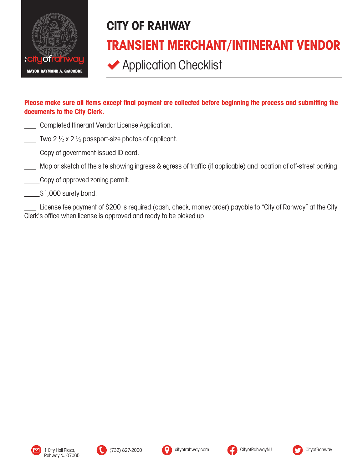

## CITY OF RAHWAY TRANSIENT MERCHANT/INTINERANT VENDOR

**◆ Application Checklist** 

## Please make sure all items except final payment are collected before beginning the process and submitting the documents to the City Clerk.

- Completed Itinerant Vendor License Application.
- Two 2  $\frac{1}{2}$  x 2  $\frac{1}{2}$  passport-size photos of applicant.
- Copy of government-issued ID card.
- Map or sketch of the site showing ingress & egress of traffic (if applicable) and location of off-street parking.
- \_Copy of approved zoning permit.
- $\frac{1}{2}$ \$1,000 surety bond.

\_\_\_ License fee payment of \$200 is required (cash, check, money order) payable to "City of Rahway" at the City Clerk's office when license is approved and ready to be picked up.